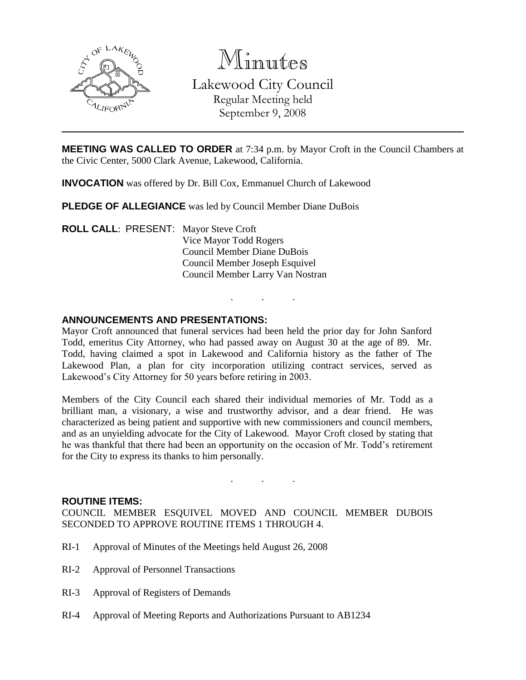

Minutes Lakewood City Council Regular Meeting held September 9, 2008

**MEETING WAS CALLED TO ORDER** at 7:34 p.m. by Mayor Croft in the Council Chambers at the Civic Center, 5000 Clark Avenue, Lakewood, California.

**INVOCATION** was offered by Dr. Bill Cox, Emmanuel Church of Lakewood

**PLEDGE OF ALLEGIANCE** was led by Council Member Diane DuBois

**ROLL CALL**: PRESENT: Mayor Steve Croft Vice Mayor Todd Rogers Council Member Diane DuBois Council Member Joseph Esquivel Council Member Larry Van Nostran

### **ANNOUNCEMENTS AND PRESENTATIONS:**

Mayor Croft announced that funeral services had been held the prior day for John Sanford Todd, emeritus City Attorney, who had passed away on August 30 at the age of 89. Mr. Todd, having claimed a spot in Lakewood and California history as the father of The Lakewood Plan, a plan for city incorporation utilizing contract services, served as Lakewood's City Attorney for 50 years before retiring in 2003.

. . .

Members of the City Council each shared their individual memories of Mr. Todd as a brilliant man, a visionary, a wise and trustworthy advisor, and a dear friend. He was characterized as being patient and supportive with new commissioners and council members, and as an unyielding advocate for the City of Lakewood. Mayor Croft closed by stating that he was thankful that there had been an opportunity on the occasion of Mr. Todd's retirement for the City to express its thanks to him personally.

### **ROUTINE ITEMS:**

COUNCIL MEMBER ESQUIVEL MOVED AND COUNCIL MEMBER DUBOIS SECONDED TO APPROVE ROUTINE ITEMS 1 THROUGH 4.

- RI-1 Approval of Minutes of the Meetings held August 26, 2008
- RI-2 Approval of Personnel Transactions
- RI-3 Approval of Registers of Demands
- RI-4 Approval of Meeting Reports and Authorizations Pursuant to AB1234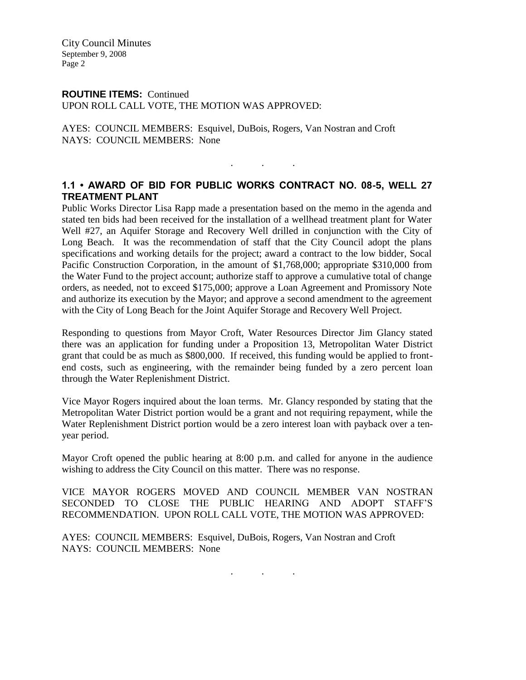City Council Minutes September 9, 2008 Page 2

## **ROUTINE ITEMS:** Continued

UPON ROLL CALL VOTE, THE MOTION WAS APPROVED:

AYES: COUNCIL MEMBERS: Esquivel, DuBois, Rogers, Van Nostran and Croft NAYS: COUNCIL MEMBERS: None

# **1.1 • AWARD OF BID FOR PUBLIC WORKS CONTRACT NO. 08-5, WELL 27 TREATMENT PLANT**

. . .

Public Works Director Lisa Rapp made a presentation based on the memo in the agenda and stated ten bids had been received for the installation of a wellhead treatment plant for Water Well #27, an Aquifer Storage and Recovery Well drilled in conjunction with the City of Long Beach. It was the recommendation of staff that the City Council adopt the plans specifications and working details for the project; award a contract to the low bidder, Socal Pacific Construction Corporation, in the amount of \$1,768,000; appropriate \$310,000 from the Water Fund to the project account; authorize staff to approve a cumulative total of change orders, as needed, not to exceed \$175,000; approve a Loan Agreement and Promissory Note and authorize its execution by the Mayor; and approve a second amendment to the agreement with the City of Long Beach for the Joint Aquifer Storage and Recovery Well Project.

Responding to questions from Mayor Croft, Water Resources Director Jim Glancy stated there was an application for funding under a Proposition 13, Metropolitan Water District grant that could be as much as \$800,000. If received, this funding would be applied to frontend costs, such as engineering, with the remainder being funded by a zero percent loan through the Water Replenishment District.

Vice Mayor Rogers inquired about the loan terms. Mr. Glancy responded by stating that the Metropolitan Water District portion would be a grant and not requiring repayment, while the Water Replenishment District portion would be a zero interest loan with payback over a tenyear period.

Mayor Croft opened the public hearing at 8:00 p.m. and called for anyone in the audience wishing to address the City Council on this matter. There was no response.

VICE MAYOR ROGERS MOVED AND COUNCIL MEMBER VAN NOSTRAN SECONDED TO CLOSE THE PUBLIC HEARING AND ADOPT STAFF'S RECOMMENDATION. UPON ROLL CALL VOTE, THE MOTION WAS APPROVED:

AYES: COUNCIL MEMBERS: Esquivel, DuBois, Rogers, Van Nostran and Croft NAYS: COUNCIL MEMBERS: None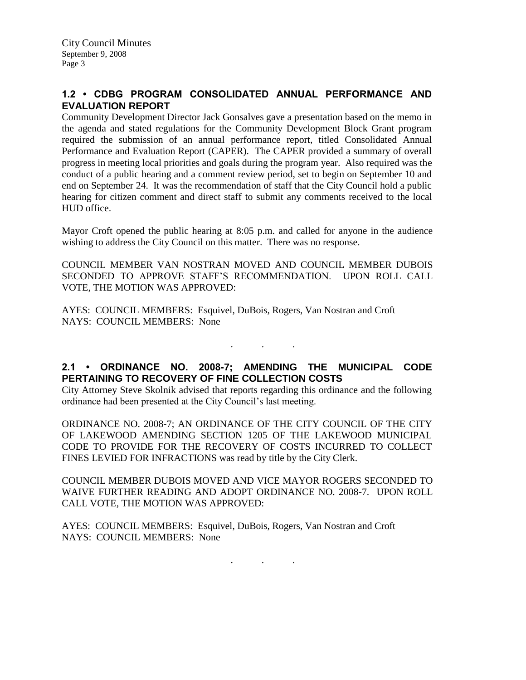# **1.2 • CDBG PROGRAM CONSOLIDATED ANNUAL PERFORMANCE AND EVALUATION REPORT**

Community Development Director Jack Gonsalves gave a presentation based on the memo in the agenda and stated regulations for the Community Development Block Grant program required the submission of an annual performance report, titled Consolidated Annual Performance and Evaluation Report (CAPER). The CAPER provided a summary of overall progress in meeting local priorities and goals during the program year. Also required was the conduct of a public hearing and a comment review period, set to begin on September 10 and end on September 24. It was the recommendation of staff that the City Council hold a public hearing for citizen comment and direct staff to submit any comments received to the local HUD office.

Mayor Croft opened the public hearing at 8:05 p.m. and called for anyone in the audience wishing to address the City Council on this matter. There was no response.

COUNCIL MEMBER VAN NOSTRAN MOVED AND COUNCIL MEMBER DUBOIS SECONDED TO APPROVE STAFF'S RECOMMENDATION. UPON ROLL CALL VOTE, THE MOTION WAS APPROVED:

AYES: COUNCIL MEMBERS: Esquivel, DuBois, Rogers, Van Nostran and Croft NAYS: COUNCIL MEMBERS: None

# **2.1 • ORDINANCE NO. 2008-7; AMENDING THE MUNICIPAL CODE PERTAINING TO RECOVERY OF FINE COLLECTION COSTS**

. . .

City Attorney Steve Skolnik advised that reports regarding this ordinance and the following ordinance had been presented at the City Council's last meeting.

ORDINANCE NO. 2008-7; AN ORDINANCE OF THE CITY COUNCIL OF THE CITY OF LAKEWOOD AMENDING SECTION 1205 OF THE LAKEWOOD MUNICIPAL CODE TO PROVIDE FOR THE RECOVERY OF COSTS INCURRED TO COLLECT FINES LEVIED FOR INFRACTIONS was read by title by the City Clerk.

COUNCIL MEMBER DUBOIS MOVED AND VICE MAYOR ROGERS SECONDED TO WAIVE FURTHER READING AND ADOPT ORDINANCE NO. 2008-7. UPON ROLL CALL VOTE, THE MOTION WAS APPROVED:

AYES: COUNCIL MEMBERS: Esquivel, DuBois, Rogers, Van Nostran and Croft NAYS: COUNCIL MEMBERS: None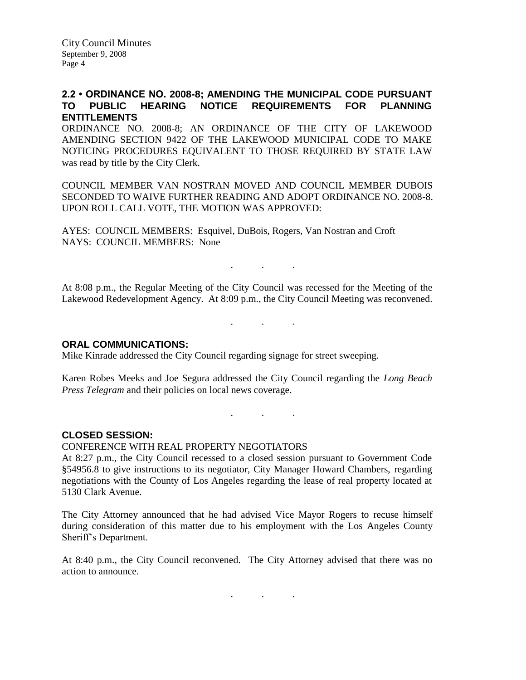City Council Minutes September 9, 2008 Page 4

## **2.2 • ORDINANCE NO. 2008-8; AMENDING THE MUNICIPAL CODE PURSUANT TO PUBLIC HEARING NOTICE REQUIREMENTS FOR PLANNING ENTITLEMENTS**

ORDINANCE NO. 2008-8; AN ORDINANCE OF THE CITY OF LAKEWOOD AMENDING SECTION 9422 OF THE LAKEWOOD MUNICIPAL CODE TO MAKE NOTICING PROCEDURES EQUIVALENT TO THOSE REQUIRED BY STATE LAW was read by title by the City Clerk.

COUNCIL MEMBER VAN NOSTRAN MOVED AND COUNCIL MEMBER DUBOIS SECONDED TO WAIVE FURTHER READING AND ADOPT ORDINANCE NO. 2008-8. UPON ROLL CALL VOTE, THE MOTION WAS APPROVED:

AYES: COUNCIL MEMBERS: Esquivel, DuBois, Rogers, Van Nostran and Croft NAYS: COUNCIL MEMBERS: None

At 8:08 p.m., the Regular Meeting of the City Council was recessed for the Meeting of the Lakewood Redevelopment Agency. At 8:09 p.m., the City Council Meeting was reconvened.

. . .

. . .

. . .

### **ORAL COMMUNICATIONS:**

Mike Kinrade addressed the City Council regarding signage for street sweeping.

Karen Robes Meeks and Joe Segura addressed the City Council regarding the *Long Beach Press Telegram* and their policies on local news coverage.

### **CLOSED SESSION:**

CONFERENCE WITH REAL PROPERTY NEGOTIATORS

At 8:27 p.m., the City Council recessed to a closed session pursuant to Government Code §54956.8 to give instructions to its negotiator, City Manager Howard Chambers, regarding negotiations with the County of Los Angeles regarding the lease of real property located at 5130 Clark Avenue.

The City Attorney announced that he had advised Vice Mayor Rogers to recuse himself during consideration of this matter due to his employment with the Los Angeles County Sheriff's Department.

At 8:40 p.m., the City Council reconvened. The City Attorney advised that there was no action to announce.